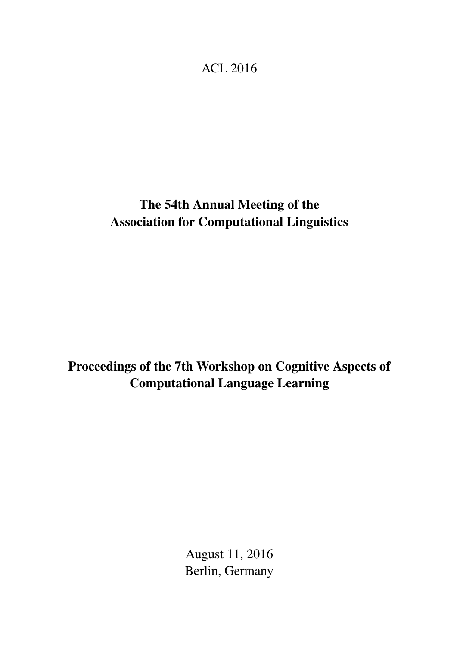## <span id="page-0-0"></span>ACL 2016

# The 54th Annual Meeting of the Association for Computational Linguistics

# Proceedings of the 7th Workshop on Cognitive Aspects of Computational Language Learning

August 11, 2016 Berlin, Germany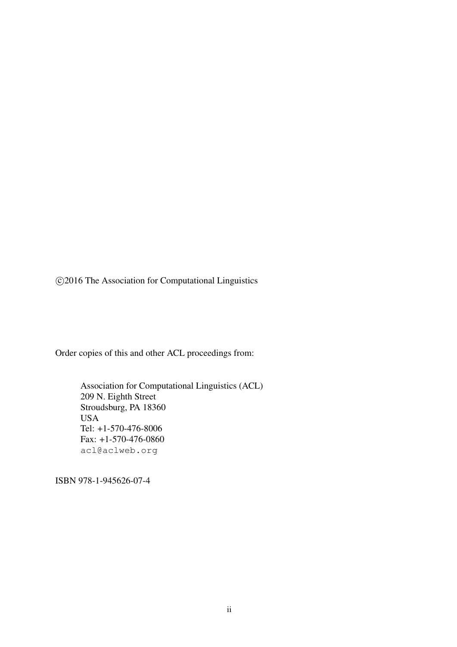c 2016 The Association for Computational Linguistics

Order copies of this and other ACL proceedings from:

Association for Computational Linguistics (ACL) 209 N. Eighth Street Stroudsburg, PA 18360 USA Tel: +1-570-476-8006 Fax: +1-570-476-0860 acl@aclweb.org

ISBN 978-1-945626-07-4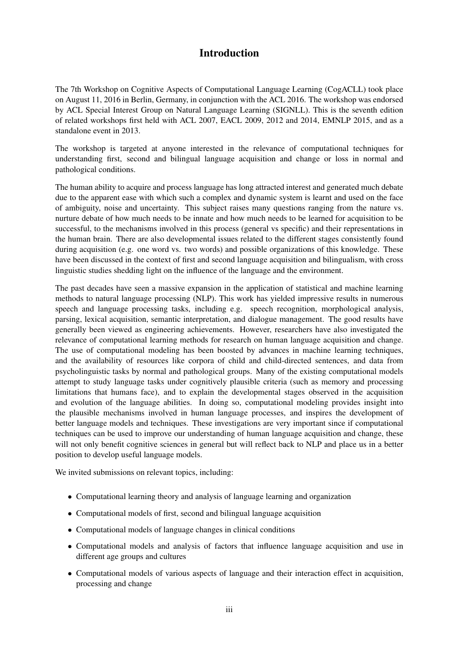## Introduction

The 7th Workshop on Cognitive Aspects of Computational Language Learning (CogACLL) took place on August 11, 2016 in Berlin, Germany, in conjunction with the ACL 2016. The workshop was endorsed by ACL Special Interest Group on Natural Language Learning (SIGNLL). This is the seventh edition of related workshops first held with ACL 2007, EACL 2009, 2012 and 2014, EMNLP 2015, and as a standalone event in 2013.

The workshop is targeted at anyone interested in the relevance of computational techniques for understanding first, second and bilingual language acquisition and change or loss in normal and pathological conditions.

The human ability to acquire and process language has long attracted interest and generated much debate due to the apparent ease with which such a complex and dynamic system is learnt and used on the face of ambiguity, noise and uncertainty. This subject raises many questions ranging from the nature vs. nurture debate of how much needs to be innate and how much needs to be learned for acquisition to be successful, to the mechanisms involved in this process (general vs specific) and their representations in the human brain. There are also developmental issues related to the different stages consistently found during acquisition (e.g. one word vs. two words) and possible organizations of this knowledge. These have been discussed in the context of first and second language acquisition and bilingualism, with cross linguistic studies shedding light on the influence of the language and the environment.

The past decades have seen a massive expansion in the application of statistical and machine learning methods to natural language processing (NLP). This work has yielded impressive results in numerous speech and language processing tasks, including e.g. speech recognition, morphological analysis, parsing, lexical acquisition, semantic interpretation, and dialogue management. The good results have generally been viewed as engineering achievements. However, researchers have also investigated the relevance of computational learning methods for research on human language acquisition and change. The use of computational modeling has been boosted by advances in machine learning techniques, and the availability of resources like corpora of child and child-directed sentences, and data from psycholinguistic tasks by normal and pathological groups. Many of the existing computational models attempt to study language tasks under cognitively plausible criteria (such as memory and processing limitations that humans face), and to explain the developmental stages observed in the acquisition and evolution of the language abilities. In doing so, computational modeling provides insight into the plausible mechanisms involved in human language processes, and inspires the development of better language models and techniques. These investigations are very important since if computational techniques can be used to improve our understanding of human language acquisition and change, these will not only benefit cognitive sciences in general but will reflect back to NLP and place us in a better position to develop useful language models.

We invited submissions on relevant topics, including:

- Computational learning theory and analysis of language learning and organization
- Computational models of first, second and bilingual language acquisition
- Computational models of language changes in clinical conditions
- Computational models and analysis of factors that influence language acquisition and use in different age groups and cultures
- Computational models of various aspects of language and their interaction effect in acquisition, processing and change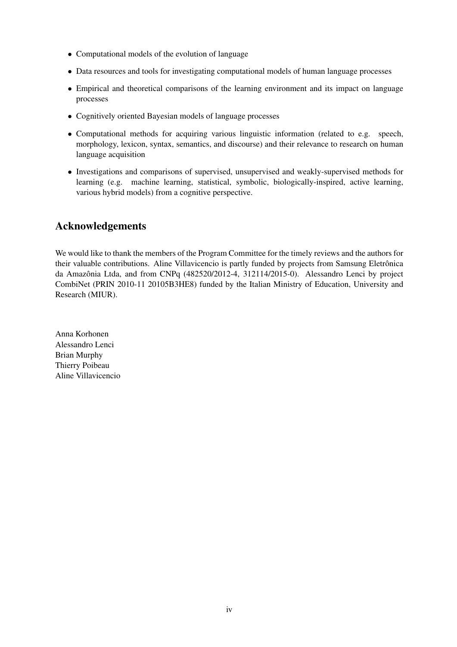- Computational models of the evolution of language
- Data resources and tools for investigating computational models of human language processes
- Empirical and theoretical comparisons of the learning environment and its impact on language processes
- Cognitively oriented Bayesian models of language processes
- Computational methods for acquiring various linguistic information (related to e.g. speech, morphology, lexicon, syntax, semantics, and discourse) and their relevance to research on human language acquisition
- Investigations and comparisons of supervised, unsupervised and weakly-supervised methods for learning (e.g. machine learning, statistical, symbolic, biologically-inspired, active learning, various hybrid models) from a cognitive perspective.

## Acknowledgements

We would like to thank the members of the Program Committee for the timely reviews and the authors for their valuable contributions. Aline Villavicencio is partly funded by projects from Samsung Eletrônica da Amazônia Ltda, and from CNPq (482520/2012-4, 312114/2015-0). Alessandro Lenci by project CombiNet (PRIN 2010-11 20105B3HE8) funded by the Italian Ministry of Education, University and Research (MIUR).

Anna Korhonen Alessandro Lenci Brian Murphy Thierry Poibeau Aline Villavicencio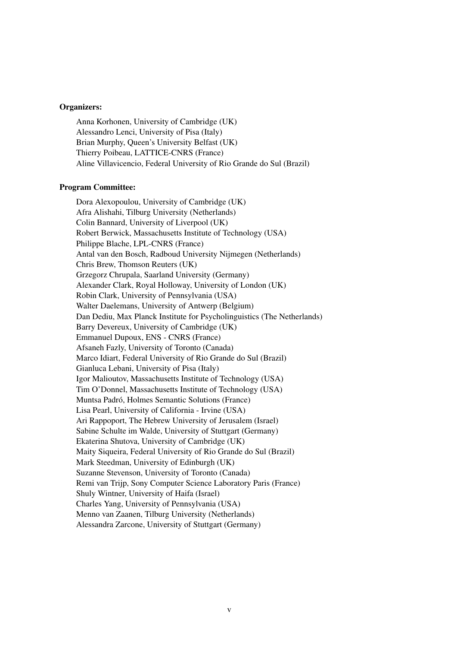#### Organizers:

Anna Korhonen, University of Cambridge (UK) Alessandro Lenci, University of Pisa (Italy) Brian Murphy, Queen's University Belfast (UK) Thierry Poibeau, LATTICE-CNRS (France) Aline Villavicencio, Federal University of Rio Grande do Sul (Brazil)

#### Program Committee:

Dora Alexopoulou, University of Cambridge (UK) Afra Alishahi, Tilburg University (Netherlands) Colin Bannard, University of Liverpool (UK) Robert Berwick, Massachusetts Institute of Technology (USA) Philippe Blache, LPL-CNRS (France) Antal van den Bosch, Radboud University Nijmegen (Netherlands) Chris Brew, Thomson Reuters (UK) Grzegorz Chrupala, Saarland University (Germany) Alexander Clark, Royal Holloway, University of London (UK) Robin Clark, University of Pennsylvania (USA) Walter Daelemans, University of Antwerp (Belgium) Dan Dediu, Max Planck Institute for Psycholinguistics (The Netherlands) Barry Devereux, University of Cambridge (UK) Emmanuel Dupoux, ENS - CNRS (France) Afsaneh Fazly, University of Toronto (Canada) Marco Idiart, Federal University of Rio Grande do Sul (Brazil) Gianluca Lebani, University of Pisa (Italy) Igor Malioutov, Massachusetts Institute of Technology (USA) Tim O'Donnel, Massachusetts Institute of Technology (USA) Muntsa Padró, Holmes Semantic Solutions (France) Lisa Pearl, University of California - Irvine (USA) Ari Rappoport, The Hebrew University of Jerusalem (Israel) Sabine Schulte im Walde, University of Stuttgart (Germany) Ekaterina Shutova, University of Cambridge (UK) Maity Siqueira, Federal University of Rio Grande do Sul (Brazil) Mark Steedman, University of Edinburgh (UK) Suzanne Stevenson, University of Toronto (Canada) Remi van Trijp, Sony Computer Science Laboratory Paris (France) Shuly Wintner, University of Haifa (Israel) Charles Yang, University of Pennsylvania (USA) Menno van Zaanen, Tilburg University (Netherlands) Alessandra Zarcone, University of Stuttgart (Germany)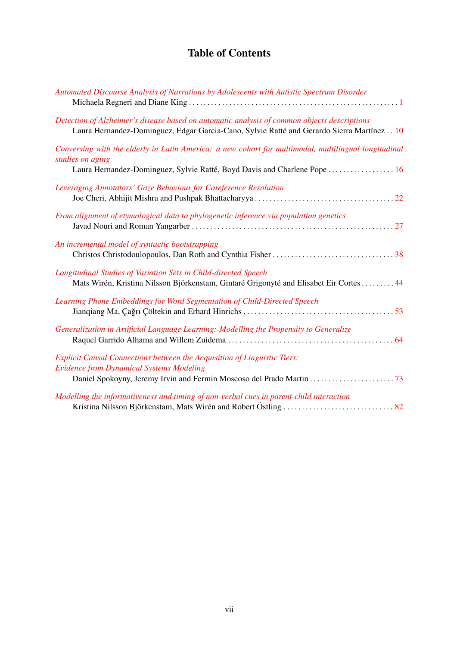## Table of Contents

| Automated Discourse Analysis of Narrations by Adolescents with Autistic Spectrum Disorder                                                                                                             |
|-------------------------------------------------------------------------------------------------------------------------------------------------------------------------------------------------------|
| Detection of Alzheimer's disease based on automatic analysis of common objects descriptions<br>Laura Hernandez-Dominguez, Edgar Garcia-Cano, Sylvie Ratté and Gerardo Sierra Martínez 10              |
| Conversing with the elderly in Latin America: a new cohort for multimodal, multilingual longitudinal<br>studies on aging<br>Laura Hernandez-Dominguez, Sylvie Ratté, Boyd Davis and Charlene Pope  16 |
| Leveraging Annotators' Gaze Behaviour for Coreference Resolution                                                                                                                                      |
| From alignment of etymological data to phylogenetic inference via population genetics                                                                                                                 |
| An incremental model of syntactic bootstrapping                                                                                                                                                       |
| Longitudinal Studies of Variation Sets in Child-directed Speech<br>Mats Wirén, Kristina Nilsson Björkenstam, Gintaré Grigonyté and Elisabet Eir Cortes 44                                             |
| Learning Phone Embeddings for Word Segmentation of Child-Directed Speech                                                                                                                              |
| Generalization in Artificial Language Learning: Modelling the Propensity to Generalize                                                                                                                |
| <b>Explicit Causal Connections between the Acquisition of Linguistic Tiers:</b><br><b>Evidence from Dynamical Systems Modeling</b>                                                                    |
| Modelling the informativeness and timing of non-verbal cues in parent-child interaction                                                                                                               |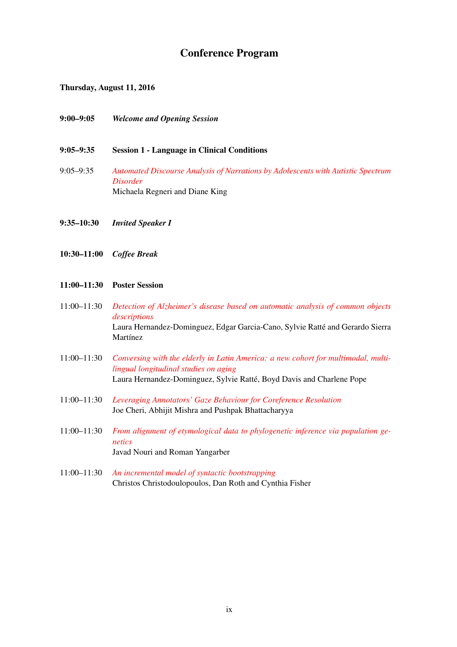### Conference Program

Thursday, August 11, 2016

- 9:00–9:05 *Welcome and Opening Session*
- 9:05–9:35 Session 1 Language in Clinical Conditions
- 9:05–9:35 *[Automated Discourse Analysis of Narrations by Adolescents with Autistic Spectrum](#page-0-0) [Disorder](#page-0-0)* Michaela Regneri and Diane King
- 9:35–10:30 *Invited Speaker I*
- 10:30–11:00 *Coffee Break*

#### 11:00–11:30 Poster Session

- 11:00–11:30 *[Detection of Alzheimer's disease based on automatic analysis of common objects](#page-0-0) [descriptions](#page-0-0)* Laura Hernandez-Dominguez, Edgar Garcia-Cano, Sylvie Ratté and Gerardo Sierra Martínez
- 11:00–11:30 *[Conversing with the elderly in Latin America: a new cohort for multimodal, multi](#page-0-0)[lingual longitudinal studies on aging](#page-0-0)* Laura Hernandez-Dominguez, Sylvie Ratté, Boyd Davis and Charlene Pope
- 11:00–11:30 *[Leveraging Annotators' Gaze Behaviour for Coreference Resolution](#page-0-0)* Joe Cheri, Abhijit Mishra and Pushpak Bhattacharyya
- 11:00–11:30 *[From alignment of etymological data to phylogenetic inference via population ge](#page-0-0)[netics](#page-0-0)* Javad Nouri and Roman Yangarber
- 11:00–11:30 *[An incremental model of syntactic bootstrapping](#page-0-0)* Christos Christodoulopoulos, Dan Roth and Cynthia Fisher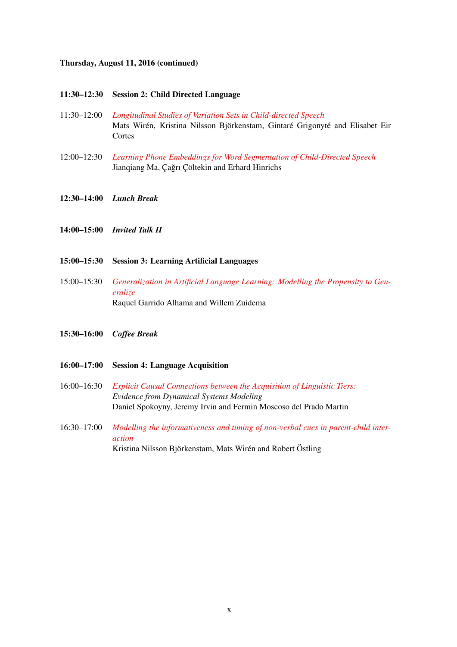#### Thursday, August 11, 2016 (continued)

- 11:30–12:30 Session 2: Child Directed Language
- 11:30–12:00 *[Longitudinal Studies of Variation Sets in Child-directed Speech](#page-0-0)* Mats Wirén, Kristina Nilsson Björkenstam, Gintaré Grigonyté and Elisabet Eir **Cortes**
- 12:00–12:30 *[Learning Phone Embeddings for Word Segmentation of Child-Directed Speech](#page-0-0)* Jianqiang Ma, Çağrı Çöltekin and Erhard Hinrichs
- 12:30–14:00 *Lunch Break*
- 14:00–15:00 *Invited Talk II*
- 15:00–15:30 Session 3: Learning Artificial Languages
- 15:00–15:30 *[Generalization in Artificial Language Learning: Modelling the Propensity to Gen](#page-0-0)[eralize](#page-0-0)* Raquel Garrido Alhama and Willem Zuidema
- 15:30–16:00 *Coffee Break*
- 16:00–17:00 Session 4: Language Acquisition
- 16:00–16:30 *[Explicit Causal Connections between the Acquisition of Linguistic Tiers:](#page-0-0) Evidence from Dynamical Systems Modeling* Daniel Spokoyny, Jeremy Irvin and Fermin Moscoso del Prado Martin
- 16:30–17:00 *[Modelling the informativeness and timing of non-verbal cues in parent-child inter](#page-0-0)[action](#page-0-0)* Kristina Nilsson Björkenstam, Mats Wirén and Robert Östling